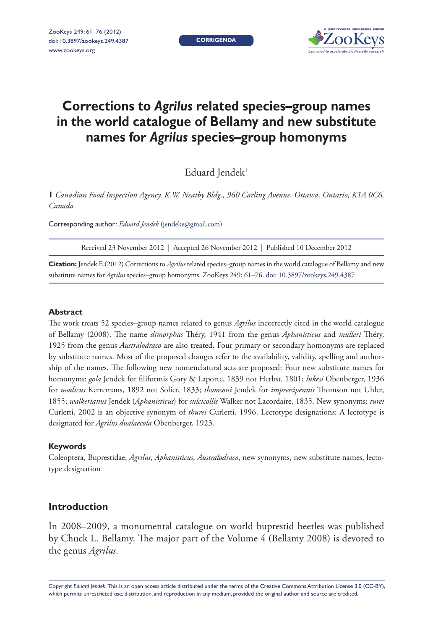**Corrigenda**



# **Corrections to** *Agrilus* **related species–group names in the world catalogue of Bellamy and new substitute names for** *Agrilus* **species–group homonyms**

Eduard Jendek<sup>1</sup>

**1** *Canadian Food Inspection Agency, K.W. Neatby Bldg., 960 Carling Avenue, Ottawa, Ontario, K1A 0C6, Canada*

Corresponding author: *Eduard Jendek* [\(jendeke@gmail.com\)](mailto:jendeke@gmail.com )

Received 23 November 2012 | Accepted 26 November 2012 | Published 10 December 2012

**Citation:** Jendek E (2012) Corrections to *Agrilus* related species–group names in the world catalogue of Bellamy and new substitute names for *Agrilus* species–group homonyms. ZooKeys 249: 61–76. [doi: 10.3897/zookeys.249.4387](http://dx.doi.org/10.3897/zookeys.249.4387)

## **Abstract**

The work treats 52 species–group names related to genus *Agrilus* incorrectly cited in the world catalogue of Bellamy (2008). The name *dimorphus* Théry, 1941 from the genus *Aphanisticus* and *mulleri* Théry, 1925 from the genus *Australodraco* are also treated. Four primary or secondary homonyms are replaced by substitute names. Most of the proposed changes refer to the availability, validity, spelling and authorship of the names. The following new nomenclatural acts are proposed: Four new substitute names for homonyms: *gola* Jendek for filiformis Gory & Laporte, 1839 not Herbst, 1801; *lukesi* Obenberger, 1936 for *modicus* Kerremans, 1892 not Solier, 1833; *thomsoni* Jendek for *impressipennis* Thomson not Uhler, 1855; *walkerianus* Jendek (*Aphanisticus*) for *sulcicollis* Walker not Lacordaire, 1835. New synonyms: *turei*  Curletti, 2002 is an objective synonym of *thurei* Curletti, 1996. Lectotype designations: A lectotype is designated for *Agrilus dualaecola* Obenberger, 1923.

#### **Keywords**

Coleoptera, Buprestidae, *Agrilus*, *Aphanisticus*, *Australodraco*, new synonyms, new substitute names, lectotype designation

# **Introduction**

In 2008–2009, a monumental catalogue on world buprestid beetles was published by Chuck L. Bellamy. The major part of the Volume 4 (Bellamy 2008) is devoted to the genus *Agrilus*.

Copyright *Eduard Jendek.* This is an open access article distributed under the terms of the [Creative Commons Attribution License 3.0 \(CC-BY\)](http://creativecommons.org/licenses/by/3.0/), which permits unrestricted use, distribution, and reproduction in any medium, provided the original author and source are credited.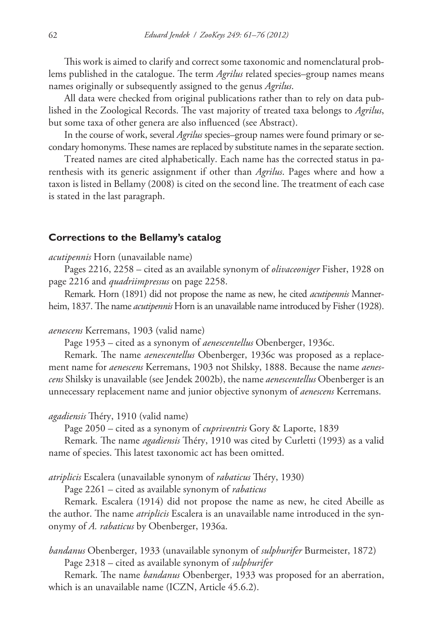This work is aimed to clarify and correct some taxonomic and nomenclatural problems published in the catalogue. The term *Agrilus* related species–group names means names originally or subsequently assigned to the genus *Agrilus*.

All data were checked from original publications rather than to rely on data published in the Zoological Records. The vast majority of treated taxa belongs to *Agrilus*, but some taxa of other genera are also influenced (see Abstract).

In the course of work, several *Agrilus* species–group names were found primary or secondary homonyms. These names are replaced by substitute names in the separate section.

Treated names are cited alphabetically. Each name has the corrected status in parenthesis with its generic assignment if other than *Agrilus*. Pages where and how a taxon is listed in Bellamy (2008) is cited on the second line. The treatment of each case is stated in the last paragraph.

### **Corrections to the Bellamy's catalog**

*acutipennis* Horn (unavailable name)

Pages 2216, 2258 – cited as an available synonym of *olivaceoniger* Fisher, 1928 on page 2216 and *quadriimpressus* on page 2258.

Remark. Horn (1891) did not propose the name as new, he cited *acutipennis* Mannerheim, 1837. The name *acutipennis* Horn is an unavailable name introduced by Fisher (1928).

*aenescens* Kerremans, 1903 (valid name)

Page 1953 – cited as a synonym of *aenescentellus* Obenberger, 1936c.

Remark. The name *aenescentellus* Obenberger, 1936c was proposed as a replacement name for *aenescens* Kerremans, 1903 not Shilsky, 1888. Because the name *aenescens* Shilsky is unavailable (see Jendek 2002b), the name *aenescentellus* Obenberger is an unnecessary replacement name and junior objective synonym of *aenescens* Kerremans.

#### *agadiensis* Théry, 1910 (valid name)

Page 2050 – cited as a synonym of *cupriventris* Gory & Laporte, 1839

Remark. The name *agadiensis* Théry, 1910 was cited by Curletti (1993) as a valid name of species. This latest taxonomic act has been omitted.

*atriplicis* Escalera (unavailable synonym of *rabaticus* Théry, 1930)

Page 2261 – cited as available synonym of *rabaticus*

Remark. Escalera (1914) did not propose the name as new, he cited Abeille as the author. The name *atriplicis* Escalera is an unavailable name introduced in the synonymy of *A. rabaticus* by Obenberger, 1936a.

*bandanus* Obenberger, 1933 (unavailable synonym of *sulphurifer* Burmeister, 1872) Page 2318 – cited as available synonym of *sulphurifer*

Remark. The name *bandanus* Obenberger, 1933 was proposed for an aberration, which is an unavailable name (ICZN, Article 45.6.2).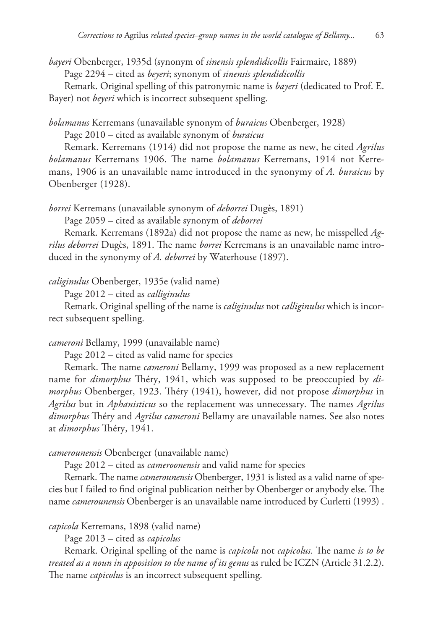*bayeri* Obenberger, 1935d (synonym of *sinensis splendidicollis* Fairmaire, 1889) Page 2294 – cited as *beyeri*; synonym of *sinensis splendidicollis*

Remark. Original spelling of this patronymic name is *bayeri* (dedicated to Prof. E. Bayer) not *beyeri* which is incorrect subsequent spelling.

*bolamanus* Kerremans (unavailable synonym of *buraicus* Obenberger, 1928)

Page 2010 – cited as available synonym of *buraicus*

Remark. Kerremans (1914) did not propose the name as new, he cited *Agrilus bolamanus* Kerremans 1906. The name *bolamanus* Kerremans, 1914 not Kerremans, 1906 is an unavailable name introduced in the synonymy of *A. buraicus* by Obenberger (1928).

*borrei* Kerremans (unavailable synonym of *deborrei* Dugès, 1891)

Page 2059 – cited as available synonym of *deborrei*

Remark. Kerremans (1892a) did not propose the name as new, he misspelled *Agrilus deborrei* Dugès, 1891. The name *borrei* Kerremans is an unavailable name introduced in the synonymy of *A. deborrei* by Waterhouse (1897).

*caliginulus* Obenberger, 1935e (valid name)

Page 2012 – cited as *calliginulus*

Remark. Original spelling of the name is *caliginulus* not *calliginulus* which is incorrect subsequent spelling.

## *cameroni* Bellamy, 1999 (unavailable name)

Page 2012 – cited as valid name for species

Remark. The name *cameroni* Bellamy, 1999 was proposed as a new replacement name for *dimorphus* Théry, 1941, which was supposed to be preoccupied by *dimorphus* Obenberger, 1923. Théry (1941), however, did not propose *dimorphus* in *Agrilus* but in *Aphanisticus* so the replacement was unnecessary*.* The names *Agrilus dimorphus* Théry and *Agrilus cameroni* Bellamy are unavailable names. See also notes at *dimorphus* Théry, 1941.

# *camerounensis* Obenberger (unavailable name)

Page 2012 – cited as *cameroonensis* and valid name for species

Remark. The name *camerounensis* Obenberger, 1931 is listed as a valid name of species but I failed to find original publication neither by Obenberger or anybody else. The name *camerounensis* Obenberger is an unavailable name introduced by Curletti (1993) .

# *capicola* Kerremans, 1898 (valid name)

Page 2013 – cited as *capicolus*

Remark. Original spelling of the name is *capicola* not *capicolus.* The name *is to be treated as a noun in apposition to the name of its genus* as ruled be ICZN (Article 31.2.2). The name *capicolus* is an incorrect subsequent spelling.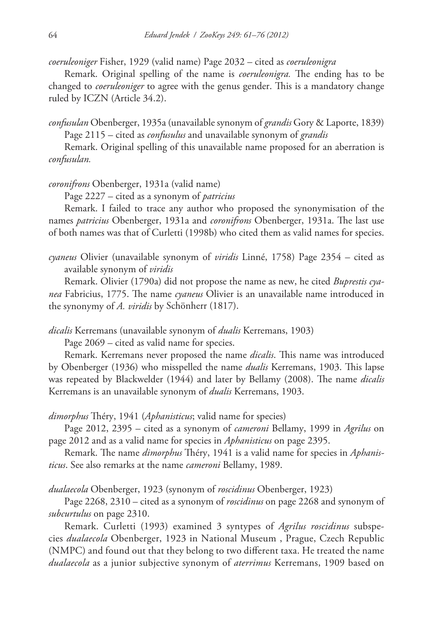*coeruleoniger* Fisher, 1929 (valid name) Page 2032 – cited as *coeruleonigra*

Remark. Original spelling of the name is *coeruleonigra.* The ending has to be changed to *coeruleoniger* to agree with the genus gender. This is a mandatory change ruled by ICZN (Article 34.2).

*confusulan* Obenberger, 1935a (unavailable synonym of *grandis* Gory & Laporte, 1839) Page 2115 – cited as *confusulus* and unavailable synonym of *grandis*

Remark. Original spelling of this unavailable name proposed for an aberration is *confusulan.*

*coronifrons* Obenberger, 1931a (valid name)

Page 2227 – cited as a synonym of *patricius*

Remark. I failed to trace any author who proposed the synonymisation of the names *patricius* Obenberger, 1931a and *coronifrons* Obenberger, 1931a. The last use of both names was that of Curletti (1998b) who cited them as valid names for species.

*cyaneus* Olivier (unavailable synonym of *viridis* Linné, 1758) Page 2354 – cited as available synonym of *viridis*

Remark. Olivier (1790a) did not propose the name as new, he cited *Buprestis cyanea* Fabricius, 1775. The name *cyaneus* Olivier is an unavailable name introduced in the synonymy of *A. viridis* by Schönherr (1817).

*dicalis* Kerremans (unavailable synonym of *dualis* Kerremans, 1903)

Page 2069 – cited as valid name for species.

Remark. Kerremans never proposed the name *dicalis*. This name was introduced by Obenberger (1936) who misspelled the name *dualis* Kerremans, 1903. This lapse was repeated by Blackwelder (1944) and later by Bellamy (2008). The name *dicalis* Kerremans is an unavailable synonym of *dualis* Kerremans, 1903.

*dimorphus* Théry, 1941 (*Aphanisticus*; valid name for species)

Page 2012, 2395 – cited as a synonym of *cameroni* Bellamy, 1999 in *Agrilus* on page 2012 and as a valid name for species in *Aphanisticus* on page 2395.

Remark. The name *dimorphus* Théry, 1941 is a valid name for species in *Aphanisticus*. See also remarks at the name *cameroni* Bellamy, 1989.

*dualaecola* Obenberger, 1923 (synonym of *roscidinus* Obenberger, 1923)

Page 2268, 2310 – cited as a synonym of *roscidinus* on page 2268 and synonym of *subcurtulus* on page 2310.

Remark. Curletti (1993) examined 3 syntypes of *Agrilus roscidinus* subspecies *dualaecola* Obenberger, 1923 in National Museum , Prague, Czech Republic (NMPC) and found out that they belong to two different taxa. He treated the name *dualaecola* as a junior subjective synonym of *aterrimus* Kerremans, 1909 based on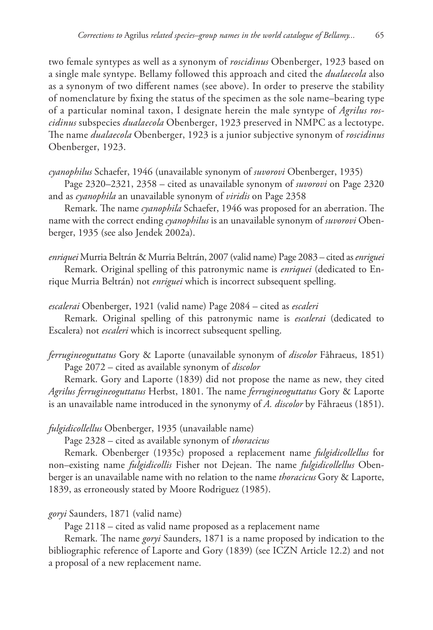two female syntypes as well as a synonym of *roscidinus* Obenberger, 1923 based on a single male syntype. Bellamy followed this approach and cited the *dualaecola* also as a synonym of two different names (see above). In order to preserve the stability of nomenclature by fixing the status of the specimen as the sole name–bearing type of a particular nominal taxon, I designate herein the male syntype of *Agrilus roscidinus* subspecies *dualaecola* Obenberger, 1923 preserved in NMPC as a lectotype. The name *dualaecola* Obenberger, 1923 is a junior subjective synonym of *roscidinus*  Obenberger, 1923.

*cyanophilus* Schaefer, 1946 (unavailable synonym of *suvorovi* Obenberger, 1935)

Page 2320–2321, 2358 – cited as unavailable synonym of *suvorovi* on Page 2320 and as *cyanophila* an unavailable synonym of *viridis* on Page 2358

Remark. The name *cyanophila* Schaefer, 1946 was proposed for an aberration. The name with the correct ending *cyanophilus* is an unavailable synonym of *suvorovi* Obenberger, 1935 (see also Jendek 2002a).

*enriquei* Murria Beltrán & Murria Beltrán, 2007 (valid name) Page 2083 – cited as *enriguei*

Remark. Original spelling of this patronymic name is *enriquei* (dedicated to Enrique Murria Beltrán) not *enriguei* which is incorrect subsequent spelling.

*escalerai* Obenberger, 1921 (valid name) Page 2084 – cited as *escaleri*

Remark. Original spelling of this patronymic name is *escalerai* (dedicated to Escalera) not *escaleri* which is incorrect subsequent spelling.

*ferrugineoguttatus* Gory & Laporte (unavailable synonym of *discolor* Fåhraeus, 1851) Page 2072 – cited as available synonym of *discolor*

Remark. Gory and Laporte (1839) did not propose the name as new, they cited *Agrilus ferrugineoguttatus* Herbst, 1801. The name *ferrugineoguttatus* Gory & Laporte is an unavailable name introduced in the synonymy of *A. discolor* by Fåhraeus (1851).

*fulgidicollellus* Obenberger, 1935 (unavailable name)

Page 2328 – cited as available synonym of *thoracicus*

Remark. Obenberger (1935c) proposed a replacement name *fulgidicollellus* for non–existing name *fulgidicollis* Fisher not Dejean. The name *fulgidicollellus* Obenberger is an unavailable name with no relation to the name *thoracicus* Gory & Laporte, 1839, as erroneously stated by Moore Rodriguez (1985).

## *goryi* Saunders, 1871 (valid name)

Page 2118 – cited as valid name proposed as a replacement name

Remark. The name *goryi* Saunders, 1871 is a name proposed by indication to the bibliographic reference of Laporte and Gory (1839) (see ICZN Article 12.2) and not a proposal of a new replacement name.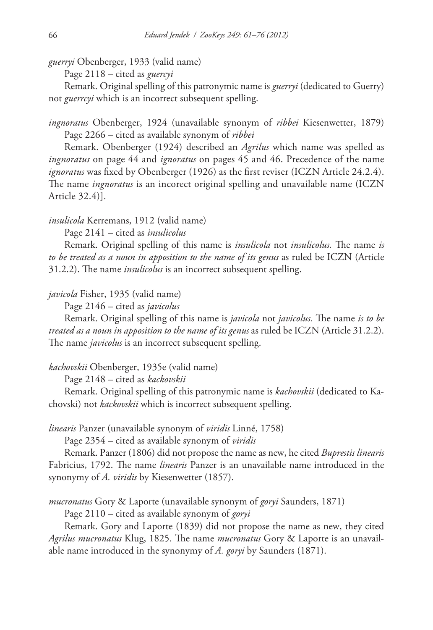*guerryi* Obenberger, 1933 (valid name)

Page 2118 – cited as *guercyi*

Remark. Original spelling of this patronymic name is *guerryi* (dedicated to Guerry) not *guerrcyi* which is an incorrect subsequent spelling.

*ingnoratus* Obenberger, 1924 (unavailable synonym of *ribbei* Kiesenwetter, 1879) Page 2266 – cited as available synonym of *ribbei*

Remark. Obenberger (1924) described an *Agrilus* which name was spelled as *ingnoratus* on page 44 and *ignoratus* on pages 45 and 46. Precedence of the name *ignoratus* was fixed by Obenberger (1926) as the first reviser (ICZN Article 24.2.4). The name *ingnoratus* is an incorect original spelling and unavailable name (ICZN Article 32.4)].

*insulicola* Kerremans, 1912 (valid name)

Page 2141 – cited as *insulicolus*

Remark. Original spelling of this name is *insulicola* not *insulicolus.* The name *is to be treated as a noun in apposition to the name of its genus* as ruled be ICZN (Article 31.2.2). The name *insulicolus* is an incorrect subsequent spelling.

## *javicola* Fisher, 1935 (valid name)

Page 2146 – cited as *javicolus*

Remark. Original spelling of this name is *javicola* not *javicolus.* The name *is to be treated as a noun in apposition to the name of its genus* as ruled be ICZN (Article 31.2.2). The name *javicolus* is an incorrect subsequent spelling.

## *kachovskii* Obenberger, 1935e (valid name)

Page 2148 – cited as *kackovskii*

Remark. Original spelling of this patronymic name is *kachovskii* (dedicated to Kachovski) not *kackovskii* which is incorrect subsequent spelling.

*linearis* Panzer (unavailable synonym of *viridis* Linné, 1758)

Page 2354 – cited as available synonym of *viridis*

Remark. Panzer (1806) did not propose the name as new, he cited *Buprestis linearis*  Fabricius, 1792. The name *linearis* Panzer is an unavailable name introduced in the synonymy of *A. viridis* by Kiesenwetter (1857).

*mucronatus* Gory & Laporte (unavailable synonym of *goryi* Saunders, 1871)

Page 2110 – cited as available synonym of *goryi*

Remark. Gory and Laporte (1839) did not propose the name as new, they cited *Agrilus mucronatus* Klug, 1825. The name *mucronatus* Gory & Laporte is an unavailable name introduced in the synonymy of *A. goryi* by Saunders (1871).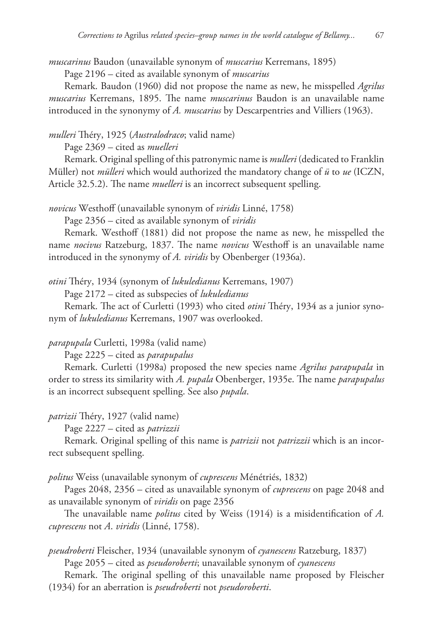*muscarinus* Baudon (unavailable synonym of *muscarius* Kerremans, 1895)

Page 2196 – cited as available synonym of *muscarius*

Remark. Baudon (1960) did not propose the name as new, he misspelled *Agrilus muscarius* Kerremans, 1895. The name *muscarinus* Baudon is an unavailable name introduced in the synonymy of *A. muscarius* by Descarpentries and Villiers (1963).

*mulleri* Théry, 1925 (*Australodraco*; valid name)

Page 2369 – cited as *muelleri*

Remark. Original spelling of this patronymic name is *mulleri* (dedicated to Franklin Müller) not *mülleri* which would authorized the mandatory change of *ü* to *ue* (ICZN, Article 32.5.2). The name *muelleri* is an incorrect subsequent spelling.

*novicus* Westhoff (unavailable synonym of *viridis* Linné, 1758)

Page 2356 – cited as available synonym of *viridis*

Remark. Westhoff (1881) did not propose the name as new, he misspelled the name *nocivus* Ratzeburg, 1837. The name *novicus* Westhoff is an unavailable name introduced in the synonymy of *A. viridis* by Obenberger (1936a).

*otini* Théry, 1934 (synonym of *lukuledianus* Kerremans, 1907)

Page 2172 – cited as subspecies of *lukuledianus*

Remark. The act of Curletti (1993) who cited *otini* Théry, 1934 as a junior synonym of *lukuledianus* Kerremans, 1907 was overlooked.

*parapupala* Curletti, 1998a (valid name)

Page 2225 – cited as *parapupalus*

Remark. Curletti (1998a) proposed the new species name *Agrilus parapupala* in order to stress its similarity with *A. pupala* Obenberger, 1935e. The name *parapupalus*  is an incorrect subsequent spelling. See also *pupala*.

*patrizii* Théry, 1927 (valid name)

Page 2227 – cited as *patrizzii*

Remark. Original spelling of this name is *patrizii* not *patrizzii* which is an incorrect subsequent spelling.

*politus* Weiss (unavailable synonym of *cuprescens* Ménétriés, 1832)

Pages 2048, 2356 – cited as unavailable synonym of *cuprescens* on page 2048 and as unavailable synonym of *viridis* on page 2356

The unavailable name *politus* cited by Weiss (1914) is a misidentification of *A. cuprescens* not *A*. *viridis* (Linné, 1758).

*pseudroberti* Fleischer, 1934 (unavailable synonym of *cyanescens* Ratzeburg, 1837)

Page 2055 – cited as *pseudoroberti*; unavailable synonym of *cyanescens*

Remark. The original spelling of this unavailable name proposed by Fleischer (1934) for an aberration is *pseudroberti* not *pseudoroberti*.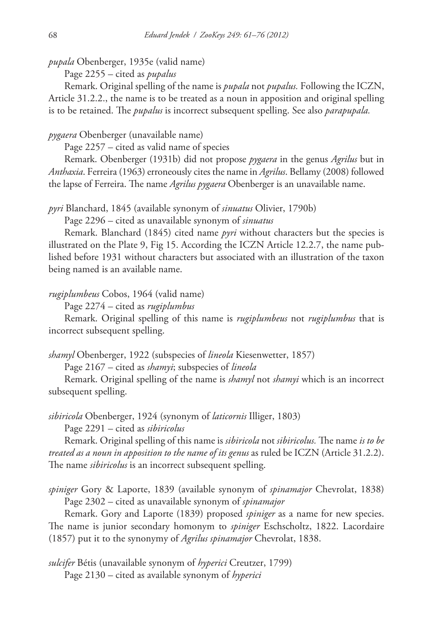*pupala* Obenberger, 1935e (valid name)

Page 2255 – cited as *pupalus*

Remark. Original spelling of the name is *pupala* not *pupalus.* Following the ICZN, Article 31.2.2., the name is to be treated as a noun in apposition and original spelling is to be retained. The *pupalus* is incorrect subsequent spelling. See also *parapupala.*

## *pygaera* Obenberger (unavailable name)

Page 2257 – cited as valid name of species

Remark. Obenberger (1931b) did not propose *pygaera* in the genus *Agrilus* but in *Anthaxia*. Ferreira (1963) erroneously cites the name in *Agrilus*. Bellamy (2008) followed the lapse of Ferreira. The name *Agrilus pygaera* Obenberger is an unavailable name.

*pyri* Blanchard, 1845 (available synonym of *sinuatus* Olivier, 1790b)

Page 2296 – cited as unavailable synonym of *sinuatus*

Remark. Blanchard (1845) cited name *pyri* without characters but the species is illustrated on the Plate 9, Fig 15. According the ICZN Article 12.2.7, the name published before 1931 without characters but associated with an illustration of the taxon being named is an available name.

## *rugiplumbeus* Cobos, 1964 (valid name)

Page 2274 – cited as *rugiplumbus*

Remark. Original spelling of this name is *rugiplumbeus* not *rugiplumbus* that is incorrect subsequent spelling.

*shamyl* Obenberger, 1922 (subspecies of *lineola* Kiesenwetter, 1857)

Page 2167 – cited as *shamyi*; subspecies of *lineola*

Remark. Original spelling of the name is *shamyl* not *shamyi* which is an incorrect subsequent spelling.

*sibiricola* Obenberger, 1924 (synonym of *laticornis* Illiger, 1803)

Page 2291 – cited as *sibiricolus*

Remark. Original spelling of this name is *sibiricola* not *sibiricolus.* The name *is to be treated as a noun in apposition to the name of its genus* as ruled be ICZN (Article 31.2.2). The name *sibiricolus* is an incorrect subsequent spelling.

*spiniger* Gory & Laporte, 1839 (available synonym of *spinamajor* Chevrolat, 1838) Page 2302 – cited as unavailable synonym of *spinamajor*

Remark. Gory and Laporte (1839) proposed *spiniger* as a name for new species. The name is junior secondary homonym to *spiniger* Eschscholtz, 1822. Lacordaire (1857) put it to the synonymy of *Agrilus spinamajor* Chevrolat, 1838.

*sulcifer* Bétis (unavailable synonym of *hyperici* Creutzer, 1799) Page 2130 – cited as available synonym of *hyperici*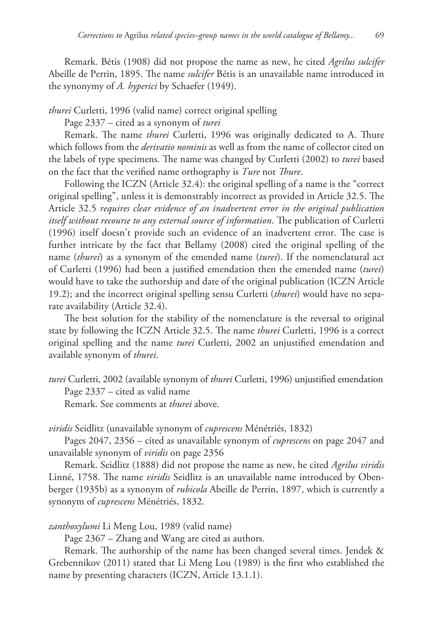Remark. Bétis (1908) did not propose the name as new, he cited *Agrilus sulcifer*  Abeille de Perrin, 1895. The name *sulcifer* Bétis is an unavailable name introduced in the synonymy of *A. hyperici* by Schaefer (1949).

*thurei* Curletti, 1996 (valid name) correct original spelling

Page 2337 – cited as a synonym of *turei*

Remark. The name *thurei* Curletti, 1996 was originally dedicated to A. Thure which follows from the *derivatio nominis* as well as from the name of collector cited on the labels of type specimens. The name was changed by Curletti (2002) to *turei* based on the fact that the verified name orthography is *Ture* not *Thure*.

Following the ICZN (Article 32.4): the original spelling of a name is the "correct original spelling", unless it is demonstrably incorrect as provided in Article 32.5. The Article 32.5 *requires clear evidence of an inadvertent error in the original publication itself without recourse to any external source of information*. The publication of Curletti (1996) itself doesn't provide such an evidence of an inadvertent error. The case is further intricate by the fact that Bellamy (2008) cited the original spelling of the name (*thurei*) as a synonym of the emended name (*turei*). If the nomenclatural act of Curletti (1996) had been a justified emendation then the emended name (*turei*) would have to take the authorship and date of the original publication (ICZN Article 19.2); and the incorrect original spelling sensu Curletti (*thurei*) would have no separate availability (Article 32.4).

The best solution for the stability of the nomenclature is the reversal to original state by following the ICZN Article 32.5. The name *thurei* Curletti, 1996 is a correct original spelling and the name *turei* Curletti, 2002 an unjustified emendation and available synonym of *thurei*.

*turei* Curletti, 2002 (available synonym of *thurei* Curletti, 1996) unjustified emendation Page 2337 – cited as valid name

Remark. See comments at *thurei* above.

*viridis* Seidlitz (unavailable synonym of *cuprescens* Ménétriés, 1832)

Pages 2047, 2356 – cited as unavailable synonym of *cuprescens* on page 2047 and unavailable synonym of *viridis* on page 2356

Remark. Seidlitz (1888) did not propose the name as new, he cited *Agrilus viridis*  Linné, 1758. The name *viridis* Seidlitz is an unavailable name introduced by Obenberger (1935b) as a synonym of *rubicola* Abeille de Perrin, 1897, which is currently a synonym of *cuprescens* Ménétriés, 1832.

*zanthoxylumi* Li Meng Lou, 1989 (valid name)

Page 2367 – Zhang and Wang are cited as authors.

Remark. The authorship of the name has been changed several times. Jendek & Grebennikov (2011) stated that Li Meng Lou (1989) is the first who established the name by presenting characters (ICZN, Article 13.1.1).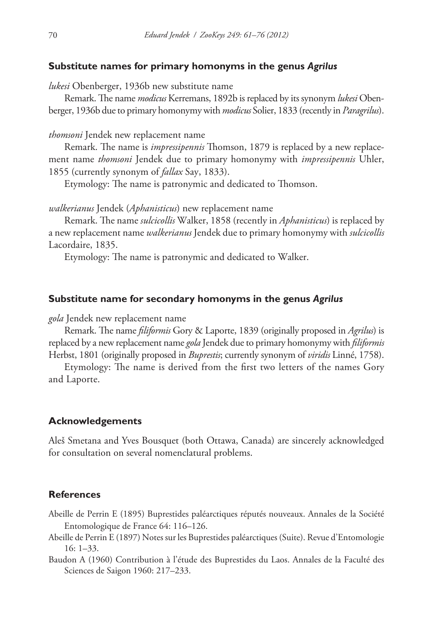## **Substitute names for primary homonyms in the genus** *Agrilus*

*lukesi* Obenberger, 1936b new substitute name

Remark. The name *modicus* Kerremans, 1892b is replaced by its synonym *lukesi* Obenberger, 1936b due to primary homonymy with *modicus* Solier, 1833 (recently in *Paragrilus*).

#### *thomsoni* Jendek new replacement name

Remark. The name is *impressipennis* Thomson, 1879 is replaced by a new replacement name *thomsoni* Jendek due to primary homonymy with *impressipennis* Uhler, 1855 (currently synonym of *fallax* Say, 1833).

Etymology: The name is patronymic and dedicated to Thomson.

*walkerianus* Jendek (*Aphanisticus*) new replacement name

Remark. The name *sulcicollis* Walker, 1858 (recently in *Aphanisticus*) is replaced by a new replacement name *walkerianus* Jendek due to primary homonymy with *sulcicollis*  Lacordaire, 1835.

Etymology: The name is patronymic and dedicated to Walker.

#### **Substitute name for secondary homonyms in the genus** *Agrilus*

*gola* Jendek new replacement name

Remark. The name *filiformis* Gory & Laporte, 1839 (originally proposed in *Agrilus*) is replaced by a new replacement name *gola* Jendek due to primary homonymy with *filiformis*  Herbst, 1801 (originally proposed in *Buprestis*; currently synonym of *viridis* Linné, 1758).

Etymology: The name is derived from the first two letters of the names Gory and Laporte.

#### **Acknowledgements**

Aleš Smetana and Yves Bousquet (both Ottawa, Canada) are sincerely acknowledged for consultation on several nomenclatural problems.

## **References**

- Abeille de Perrin E (1895) Buprestides paléarctiques réputés nouveaux. Annales de la Société Entomologique de France 64: 116–126.
- Abeille de Perrin E (1897) Notes sur les Buprestides paléarctiques (Suite). Revue d'Entomologie 16: 1–33.
- Baudon A (1960) Contribution à l'étude des Buprestides du Laos. Annales de la Faculté des Sciences de Saigon 1960: 217–233.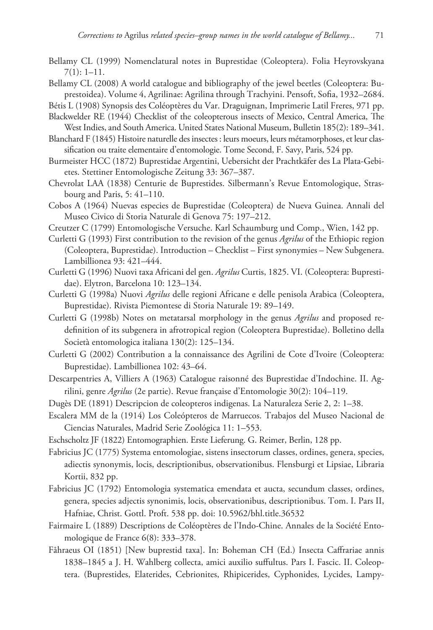- Bellamy CL (1999) Nomenclatural notes in Buprestidae (Coleoptera). Folia Heyrovskyana 7(1): 1–11.
- Bellamy CL (2008) A world catalogue and bibliography of the jewel beetles (Coleoptera: Buprestoidea). Volume 4, Agrilinae: Agrilina through Trachyini. Pensoft, Sofia, 1932–2684.

Bétis L (1908) Synopsis des Coléoptères du Var. Draguignan, Imprimerie Latil Freres, 971 pp.

Blackwelder RE (1944) Checklist of the coleopterous insects of Mexico, Central America, The West Indies, and South America. United States National Museum, Bulletin 185(2): 189–341.

- Blanchard F (1845) Histoire naturelle des insectes : leurs moeurs, leurs métamorphoses, et leur classification ou traite elementaire d'entomologie. Tome Second, F. Savy, Paris, 524 pp.
- Burmeister HCC (1872) Buprestidae Argentini, Uebersicht der Prachtkäfer des La Plata-Gebietes. Stettiner Entomologische Zeitung 33: 367–387.
- Chevrolat LAA (1838) Centurie de Buprestides. Silbermann's Revue Entomologique, Strasbourg and Paris, 5: 41–110.
- Cobos A (1964) Nuevas especies de Buprestidae (Coleoptera) de Nueva Guinea. Annali del Museo Civico di Storia Naturale di Genova 75: 197–212.
- Creutzer C (1799) Entomologische Versuche. Karl Schaumburg und Comp., Wien, 142 pp.
- Curletti G (1993) First contribution to the revision of the genus *Agrilus* of the Ethiopic region (Coleoptera, Buprestidae). Introduction – Checklist – First synonymies – New Subgenera. Lambillionea 93: 421–444.
- Curletti G (1996) Nuovi taxa Africani del gen. *Agrilus* Curtis, 1825. VI. (Coleoptera: Buprestidae). Elytron, Barcelona 10: 123–134.
- Curletti G (1998a) Nuovi *Agrilus* delle regioni Africane e delle penisola Arabica (Coleoptera, Buprestidae). Rivista Piemontese di Storia Naturale 19: 89–149.
- Curletti G (1998b) Notes on metatarsal morphology in the genus *Agrilus* and proposed redefinition of its subgenera in afrotropical region (Coleoptera Buprestidae). Bolletino della Società entomologica italiana 130(2): 125–134.
- Curletti G (2002) Contribution a la connaissance des Agrilini de Cote d'Ivoire (Coleoptera: Buprestidae). Lambillionea 102: 43–64.
- Descarpentries A, Villiers A (1963) Catalogue raisonné des Buprestidae d'Indochine. II. Agrilini, genre *Agrilus* (2e partie). Revue française d'Entomologie 30(2): 104–119.
- Dugès DE (1891) Descripcion de coleopteros indigenas. La Naturaleza Serie 2, 2: 1–38.
- Escalera MM de la (1914) Los Coleópteros de Marruecos. Trabajos del Museo Nacional de Ciencias Naturales, Madrid Serie Zoológica 11: 1–553.
- Eschscholtz JF (1822) Entomographien. Erste Lieferung. G. Reimer, Berlin, 128 pp.
- Fabricius JC (1775) Systema entomologiae, sistens insectorum classes, ordines, genera, species, adiectis synonymis, locis, descriptionibus, observationibus. Flensburgi et Lipsiae, Libraria Kortii, 832 pp.
- Fabricius JC (1792) Entomologia systematica emendata et aucta, secundum classes, ordines, genera, species adjectis synonimis, locis, observationibus, descriptionibus. Tom. I. Pars II, Hafniae, Christ. Gottl. Proft. 538 pp. [doi: 10.5962/bhl.title.36532](http://dx.doi.org/10.5962/bhl.title.36532)
- Fairmaire L (1889) Descriptions de Coléoptères de l'Indo-Chine. Annales de la Société Entomologique de France 6(8): 333–378.
- Fåhraeus OI (1851) [New buprestid taxa]. In: Boheman CH (Ed.) Insecta Caffrariae annis 1838–1845 a J. H. Wahlberg collecta, amici auxilio suffultus. Pars I. Fascic. II. Coleoptera. (Buprestides, Elaterides, Cebrionites, Rhipicerides, Cyphonides, Lycides, Lampy-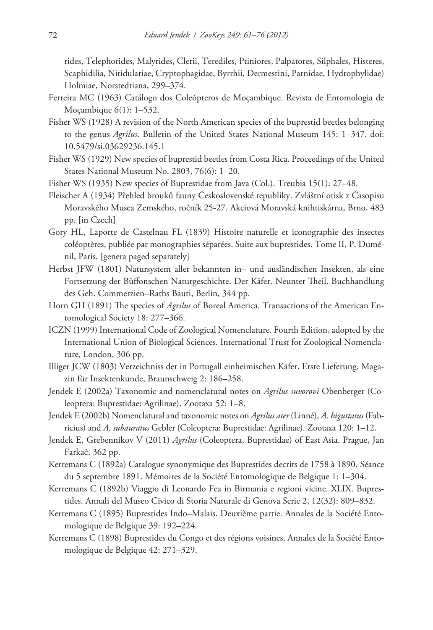rides, Telephorides, Malyrides, Clerii, Terediles, Ptiniores, Palpatores, Silphales, Histeres, Scaphidilia, Nitidulariae, Cryptophagidae, Byrrhii, Dermestini, Parnidae, Hydrophylidae) Holmiae, Norstedtiana, 299–374.

- Ferreira MC (1963) Catálogo dos Coleópteros de Moçambique. Revista de Entomologia de Moçambique 6(1): 1–532.
- Fisher WS (1928) A revision of the North American species of the buprestid beetles belonging to the genus *Agrilus*. Bulletin of the United States National Museum 145: 1–347. [doi:](http://dx.doi.org/10.5479/si.03629236.145.1) [10.5479/si.03629236.145.1](http://dx.doi.org/10.5479/si.03629236.145.1)
- Fisher WS (1929) New species of buprestid beetles from Costa Rica. Proceedings of the United States National Museum No. 2803, 76(6): 1–20.
- Fisher WS (1935) New species of Buprestidae from Java (Col.). Treubia 15(1): 27–48.
- Fleischer A (1934) Přehled brouků fauny Československé republiky. Zvláštní otisk z Časopisu Moravského Musea Zemského, ročník 25-27. Akciová Moravská knihtiskárna, Brno, 483 pp. [in Czech]
- Gory HL, Laporte de Castelnau FL (1839) Histoire naturelle et iconographie des insectes coléoptères, publiée par monographies séparées. Suite aux buprestides. Tome II, P. Duménil, Paris. [genera paged separately]
- Herbst JFW (1801) Natursystem aller bekannten in– und ausländischen Insekten, als eine Fortsetzung der Büffonschen Naturgeschichte. Der Käfer. Neunter Theil. Buchhandlung des Geh. Commerzien–Raths Bauti, Berlin, 344 pp.
- Horn GH (1891) The species of *Agrilus* of Boreal America. Transactions of the American Entomological Society 18: 277–366.
- ICZN (1999) International Code of Zoological Nomenclature. Fourth Edition, adopted by the International Union of Biological Sciences. International Trust for Zoological Nomenclature, London, 306 pp.
- Illiger JCW (1803) Verzeichniss der in Portugall einheimischen Käfer. Erste Lieferung. Magazin für Insektenkunde, Braunschweig 2: 186–258.
- Jendek E (2002a) Taxonomic and nomenclatural notes on *Agrilus suvorovi* Obenberger (Coleoptera: Buprestidae: Agrilinae). Zootaxa 52: 1–8.
- Jendek E (2002b) Nomenclatural and taxonomic notes on *Agrilus ater* (Linné), *A*. *biguttatus* (Fabricius) and *A. subauratus* Gebler (Coleoptera: Buprestidae: Agrilinae). Zootaxa 120: 1–12.
- Jendek E, Grebennikov V (2011) *Agrilus* (Coleoptera, Buprestidae) of East Asia. Prague, Jan Farkač, 362 pp.
- Kerremans C (1892a) Catalogue synonymique des Buprestides decrits de 1758 à 1890. Séance du 5 septembre 1891. Mémoires de la Société Entomologique de Belgique 1: 1–304.
- Kerremans C (1892b) Viaggio di Leonardo Fea in Birmania e regioni vicine. XLIX. Buprestides. Annali del Museo Civico di Storia Naturale di Genova Serie 2, 12(32): 809–832.
- Kerremans C (1895) Buprestides Indo–Malais. Deuxième partie. Annales de la Société Entomologique de Belgique 39: 192–224.
- Kerremans C (1898) Buprestides du Congo et des régions voisines. Annales de la Société Entomologique de Belgique 42: 271–329.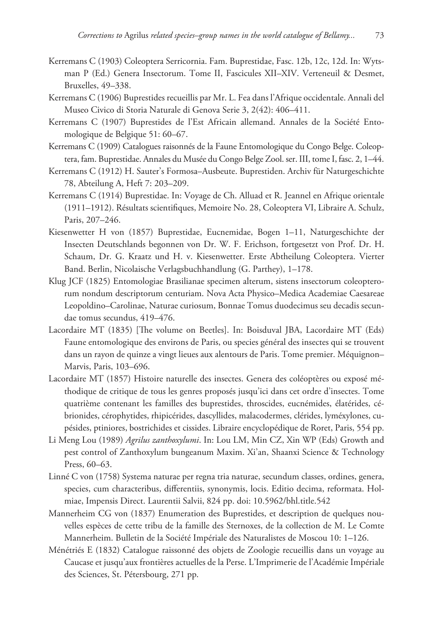- Kerremans C (1903) Coleoptera Serricornia. Fam. Buprestidae, Fasc. 12b, 12c, 12d. In: Wytsman P (Ed.) Genera Insectorum. Tome II, Fascicules XII–XIV. Verteneuil & Desmet, Bruxelles, 49–338.
- Kerremans C (1906) Buprestides recueillis par Mr. L. Fea dans l'Afrique occidentale. Annali del Museo Civico di Storia Naturale di Genova Serie 3, 2(42): 406–411.
- Kerremans C (1907) Buprestides de l'Est Africain allemand. Annales de la Société Entomologique de Belgique 51: 60–67.
- Kerremans C (1909) Catalogues raisonnés de la Faune Entomologique du Congo Belge. Coleoptera, fam. Buprestidae. Annales du Musée du Congo Belge Zool. ser. III, tome I, fasc. 2, 1–44.
- Kerremans C (1912) H. Sauter's Formosa–Ausbeute. Buprestiden. Archiv für Naturgeschichte 78, Abteilung A, Heft 7: 203–209.
- Kerremans C (1914) Buprestidae. In: Voyage de Ch. Alluad et R. Jeannel en Afrique orientale (1911–1912). Résultats scientifiques, Memoire No. 28, Coleoptera VI, Libraire A. Schulz, Paris, 207–246.
- Kiesenwetter H von (1857) Buprestidae, Eucnemidae, Bogen 1–11, Naturgeschichte der Insecten Deutschlands begonnen von Dr. W. F. Erichson, fortgesetzt von Prof. Dr. H. Schaum, Dr. G. Kraatz und H. v. Kiesenwetter. Erste Abtheilung Coleoptera. Vierter Band. Berlin, Nicolaische Verlagsbuchhandlung (G. Parthey), 1–178.
- Klug JCF (1825) Entomologiae Brasilianae specimen alterum, sistens insectorum coleopterorum nondum descriptorum centuriam. Nova Acta Physico–Medica Academiae Caesareae Leopoldino–Carolinae, Naturae curiosum, Bonnae Tomus duodecimus seu decadis secundae tomus secundus, 419–476.
- Lacordaire MT (1835) [The volume on Beetles]. In: Boisduval JBA, Lacordaire MT (Eds) Faune entomologique des environs de Paris, ou species général des insectes qui se trouvent dans un rayon de quinze a vingt lieues aux alentours de Paris. Tome premier. Méquignon– Marvis, Paris, 103–696.
- Lacordaire MT (1857) Histoire naturelle des insectes. Genera des coléoptères ou exposé méthodique de critique de tous les genres proposés jusqu'ici dans cet ordre d'insectes. Tome quatrième contenant les familles des buprestides, throscides, eucnémides, élatérides, cébrionides, cérophytides, rhipicérides, dascyllides, malacodermes, clérides, lyméxylones, cupésides, ptiniores, bostrichides et cissides. Libraire encyclopédique de Roret, Paris, 554 pp.
- Li Meng Lou (1989) *Agrilus zanthoxylumi*. In: Lou LM, Min CZ, Xin WP (Eds) Growth and pest control of Zanthoxylum bungeanum Maxim. Xi'an, Shaanxi Science & Technology Press, 60–63.
- Linné C von (1758) Systema naturae per regna tria naturae, secundum classes, ordines, genera, species, cum characteribus, differentiis, synonymis, locis. Editio decima, reformata. Holmiae, Impensis Direct. Laurentii Salvii, 824 pp. [doi: 10.5962/bhl.title.542](http://dx.doi.org/10.5962/bhl.title.542)
- Mannerheim CG von (1837) Enumeration des Buprestides, et description de quelques nouvelles espèces de cette tribu de la famille des Sternoxes, de la collection de M. Le Comte Mannerheim. Bulletin de la Société Impériale des Naturalistes de Moscou 10: 1–126.
- Ménétriés E (1832) Catalogue raissonné des objets de Zoologie recueillis dans un voyage au Caucase et jusqu'aux frontières actuelles de la Perse. L'Imprimerie de l'Académie Impériale des Sciences, St. Pétersbourg, 271 pp.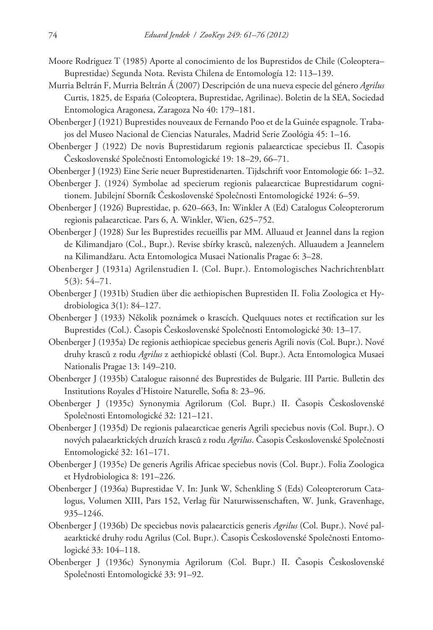- Moore Rodriguez T (1985) Aporte al conocimiento de los Buprestidos de Chile (Coleoptera– Buprestidae) Segunda Nota. Revista Chilena de Entomología 12: 113–139.
- Murria Beltrán F, Murria Beltrán Á (2007) Descripción de una nueva especie del género *Agrilus*  Curtis, 1825, de Espańa (Coleoptera, Buprestidae, Agrilinae). Boletin de la SEA, Sociedad Entomologica Aragonesa, Zaragoza No 40: 179–181.
- Obenberger J (1921) Buprestides nouveaux de Fernando Poo et de la Guinée espagnole. Trabajos del Museo Nacional de Ciencias Naturales, Madrid Serie Zoológia 45: 1–16.
- Obenberger J (1922) De novis Buprestidarum regionis palaearcticae speciebus II. Časopis Československé Společnosti Entomologické 19: 18–29, 66–71.
- Obenberger J (1923) Eine Serie neuer Buprestidenarten. Tijdschrift voor Entomologie 66: 1–32.
- Obenberger J. (1924) Symbolae ad specierum regionis palaearcticae Buprestidarum cognitionem. Jubilejní Sborník Československé Společnosti Entomologické 1924: 6–59.
- Obenberger J (1926) Buprestidae, p. 620–663, In: Winkler A (Ed) Catalogus Coleopterorum regionis palaearcticae. Pars 6, A. Winkler, Wien, 625–752.
- Obenberger J (1928) Sur les Buprestides recueillis par MM. Alluaud et Jeannel dans la region de Kilimandjaro (Col., Bupr.). Revise sbírky krasců, nalezených. Alluaudem a Jeannelem na Kilimandžaru. Acta Entomologica Musaei Nationalis Pragae 6: 3–28.
- Obenberger J (1931a) Agrilenstudien I. (Col. Bupr.). Entomologisches Nachrichtenblatt 5(3): 54–71.
- Obenberger J (1931b) Studien über die aethiopischen Buprestiden II. Folia Zoologica et Hydrobiologica 3(1): 84–127.
- Obenberger J (1933) Několik poznámek o krascích. Quelquues notes et rectification sur les Buprestides (Col.). Časopis Československé Společnosti Entomologické 30: 13–17.
- Obenberger J (1935a) De regionis aethiopicae speciebus generis Agrili novis (Col. Bupr.). Nové druhy krasců z rodu *Agrilus* z aethiopické oblasti (Col. Bupr.). Acta Entomologica Musaei Nationalis Pragae 13: 149–210.
- Obenberger J (1935b) Catalogue raisonné des Buprestides de Bulgarie. III Partie. Bulletin des Institutions Royales d'Histoire Naturelle, Sofia 8: 23–96.
- Obenberger J (1935c) Synonymia Agrilorum (Col. Bupr.) II. Časopis Československé Společnosti Entomologické 32: 121–121.
- Obenberger J (1935d) De regionis palaearcticae generis Agrili speciebus novis (Col. Bupr.). O nových palaearktických druzích krasců z rodu *Agrilus*. Časopis Československé Společnosti Entomologické 32: 161–171.
- Obenberger J (1935e) De generis Agrilis Africae speciebus novis (Col. Bupr.). Folia Zoologica et Hydrobiologica 8: 191–226.
- Obenberger J (1936a) Buprestidae V. In: Junk W, Schenkling S (Eds) Coleopterorum Catalogus, Volumen XIII, Pars 152, Verlag für Naturwissenschaften, W. Junk, Gravenhage, 935–1246.
- Obenberger J (1936b) De speciebus novis palaearcticis generis *Agrilus* (Col. Bupr.). Nové palaearktické druhy rodu Agrilus (Col. Bupr.). Časopis Československé Společnosti Entomologické 33: 104–118.
- Obenberger J (1936c) Synonymia Agrilorum (Col. Bupr.) II. Časopis Československé Společnosti Entomologické 33: 91–92.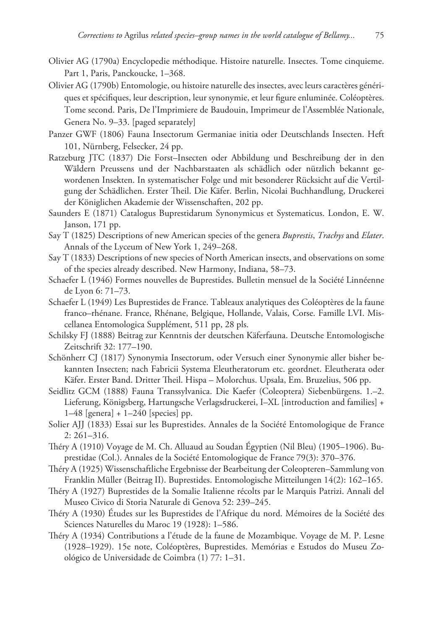- Olivier AG (1790a) Encyclopedie méthodique. Histoire naturelle. Insectes. Tome cinquieme. Part 1, Paris, Panckoucke, 1–368.
- Olivier AG (1790b) Entomologie, ou histoire naturelle des insectes, avec leurs caractères génériques et spécifiques, leur description, leur synonymie, et leur figure enluminée. Coléoptères. Tome second. Paris, De l'Imprimiere de Baudouin, Imprimeur de l'Assemblée Nationale, Genera No. 9–33. [paged separately]
- Panzer GWF (1806) Fauna Insectorum Germaniae initia oder Deutschlands Insecten. Heft 101, Nürnberg, Felsecker, 24 pp.
- Ratzeburg JTC (1837) Die Forst–Insecten oder Abbildung und Beschreibung der in den Wäldern Preussens und der Nachbarstaaten als schädlich oder nützlich bekannt gewordenen Insekten. In systematischer Folge und mit besonderer Rücksicht auf die Vertilgung der Schädlichen. Erster Theil. Die Käfer. Berlin, Nicolai Buchhandlung, Druckerei der Königlichen Akademie der Wissenschaften, 202 pp.
- Saunders E (1871) Catalogus Buprestidarum Synonymicus et Systematicus. London, E. W. Janson, 171 pp.
- Say T (1825) Descriptions of new American species of the genera *Buprestis*, *Trachys* and *Elater*. Annals of the Lyceum of New York 1, 249–268.
- Say T (1833) Descriptions of new species of North American insects, and observations on some of the species already described. New Harmony, Indiana, 58–73.
- Schaefer L (1946) Formes nouvelles de Buprestides. Bulletin mensuel de la Société Linnéenne de Lyon 6: 71–73.
- Schaefer L (1949) Les Buprestides de France. Tableaux analytiques des Coléoptères de la faune franco–rhénane. France, Rhénane, Belgique, Hollande, Valais, Corse. Famille LVI. Miscellanea Entomologica Supplément, 511 pp, 28 pls.
- Schilsky FJ (1888) Beitrag zur Kenntnis der deutschen Käferfauna. Deutsche Entomologische Zeitschrift 32: 177–190.
- Schönherr CJ (1817) Synonymia Insectorum, oder Versuch einer Synonymie aller bisher bekannten Insecten; nach Fabricii Systema Eleutheratorum etc. geordnet. Eleutherata oder Käfer. Erster Band. Dritter Theil. Hispa – Molorchus. Upsala, Em. Bruzelius, 506 pp.
- Seidlitz GCM (1888) Fauna Transsylvanica. Die Kaefer (Coleoptera) Siebenbürgens. 1.–2. Lieferung, Königsberg, Hartungsche Verlagsdruckerei, I–XL [introduction and families] + 1–48 [genera] + 1–240 [species] pp.
- Solier AJJ (1833) Essai sur les Buprestides. Annales de la Société Entomologique de France 2: 261–316.
- Théry A (1910) Voyage de M. Ch. Alluaud au Soudan Égyptien (Nil Bleu) (1905–1906). Buprestidae (Col.). Annales de la Société Entomologique de France 79(3): 370–376.
- Théry A (1925) Wissenschaftliche Ergebnisse der Bearbeitung der Coleopteren–Sammlung von Franklin Müller (Beitrag II). Buprestides. Entomologische Mitteilungen 14(2): 162–165.
- Théry A (1927) Buprestides de la Somalie Italienne récolts par le Marquis Patrizi. Annali del Museo Civico di Storia Naturale di Genova 52: 239–245.
- Théry A (1930) Études sur les Buprestides de l'Afrique du nord. Mémoires de la Société des Sciences Naturelles du Maroc 19 (1928): 1–586.
- Théry A (1934) Contributions a l'étude de la faune de Mozambique. Voyage de M. P. Lesne (1928–1929). 15e note, Coléoptères, Buprestides. Memórias e Estudos do Museu Zoológico de Universidade de Coimbra (1) 77: 1–31.